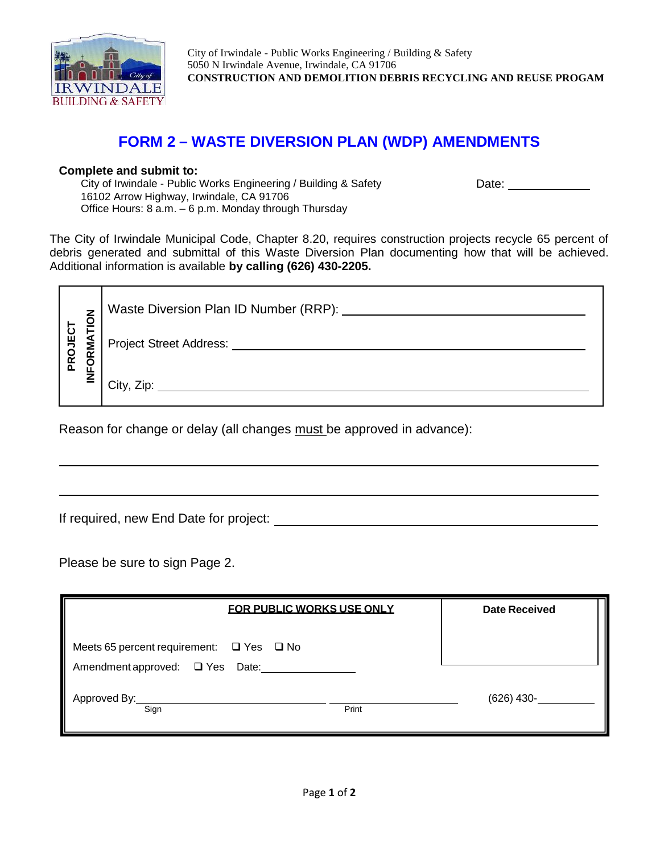

City of Irwindale - Public Works Engineering / Building & Safety 5050 N Irwindale Avenue, Irwindale, CA 91706 **CONSTRUCTION AND DEMOLITION DEBRIS RECYCLING AND REUSE PROGAM**

## **FORM 2 – WASTE DIVERSION PLAN (WDP) AMENDMENTS**

## **Complete and submit to:**

City of Irwindale - Public Works Engineering / Building & Safety 16102 Arrow Highway, Irwindale, CA 91706 Office Hours: 8 a.m. – 6 p.m. Monday through Thursday

Date: \_\_\_\_\_\_\_\_\_\_

The City of Irwindale Municipal Code, Chapter 8.20, requires construction projects recycle 65 percent of debris generated and submittal of this Waste Diversion Plan documenting how that will be achieved. Additional information is available **by calling (626) 430-2205.**

|         | <u> ਹ</u> | Waste Diversion Plan ID Number (RRP): |
|---------|-----------|---------------------------------------|
| PROJECT | ORMA      | <b>Project Street Address:</b>        |
|         | ш<br>Z    | City, Zip:                            |

Reason for change or delay (all changes must be approved in advance):

If required, new End Date for project:

Please be sure to sign Page 2.

| <b>FOR PUBLIC WORKS USE ONLY</b>                                                      | <b>Date Received</b> |
|---------------------------------------------------------------------------------------|----------------------|
| Meets 65 percent requirement: $\Box$ Yes $\Box$ No<br>Amendment approved: □ Yes Date: |                      |
| Approved By:<br>Sign<br>Print                                                         | $(626)$ 430-         |